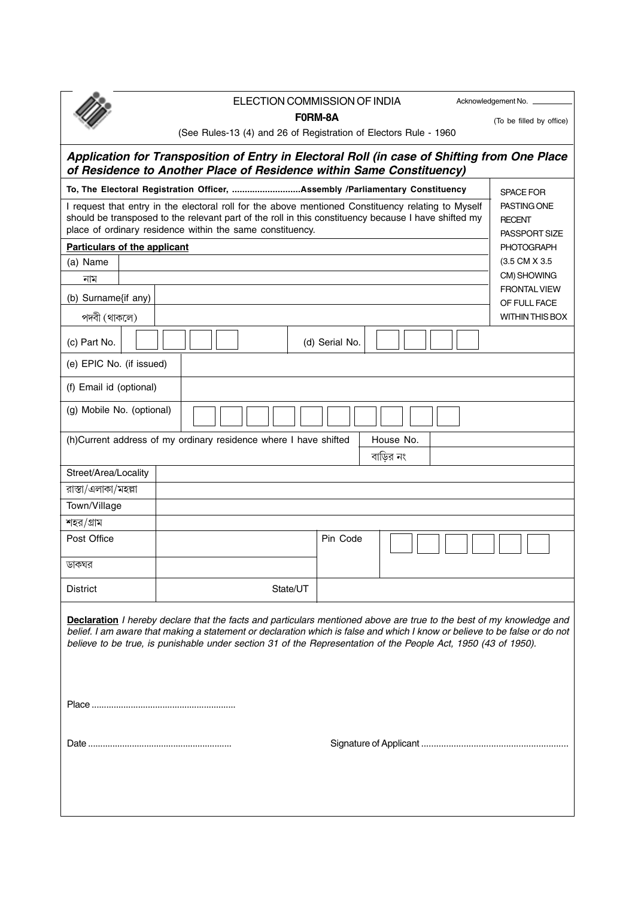

## ELECTION COMMISSION OF INDIA

Acknowledgement No. \_

F0RM-8A

(To be filled by office)

(See Rules-13 (4) and 26 of Registration of Electors Rule - 1960

Application for Transposition of Entry in Electoral Roll (in case of Shifting from One Place of Residence to Another Place of Residence within Same Constituency)

| To, The Electoral Registration Officer, Assembly /Parliamentary Constituency                                                                                                                                                                                            | <b>SPACE FOR</b>                                                                                                                                                                                                                                   |  |  |  |
|-------------------------------------------------------------------------------------------------------------------------------------------------------------------------------------------------------------------------------------------------------------------------|----------------------------------------------------------------------------------------------------------------------------------------------------------------------------------------------------------------------------------------------------|--|--|--|
| I request that entry in the electoral roll for the above mentioned Constituency relating to Myself<br>should be transposed to the relevant part of the roll in this constituency because I have shifted my<br>place of ordinary residence within the same constituency. | PASTING ONE<br><b>RECENT</b><br><b>PASSPORT SIZE</b>                                                                                                                                                                                               |  |  |  |
| <b>Particulars of the applicant</b>                                                                                                                                                                                                                                     | <b>PHOTOGRAPH</b>                                                                                                                                                                                                                                  |  |  |  |
| (a) Name                                                                                                                                                                                                                                                                | (3.5 CM X 3.5)                                                                                                                                                                                                                                     |  |  |  |
| নাম                                                                                                                                                                                                                                                                     | CM) SHOWING<br><b>FRONTAL VIEW</b>                                                                                                                                                                                                                 |  |  |  |
| (b) Surname{if any)                                                                                                                                                                                                                                                     | OF FULL FACE                                                                                                                                                                                                                                       |  |  |  |
| পদবী (থাকলে)                                                                                                                                                                                                                                                            | <b>WITHIN THIS BOX</b>                                                                                                                                                                                                                             |  |  |  |
| (c) Part No.                                                                                                                                                                                                                                                            | (d) Serial No.                                                                                                                                                                                                                                     |  |  |  |
| (e) EPIC No. (if issued)                                                                                                                                                                                                                                                |                                                                                                                                                                                                                                                    |  |  |  |
| (f) Email id (optional)                                                                                                                                                                                                                                                 |                                                                                                                                                                                                                                                    |  |  |  |
| (g) Mobile No. (optional)                                                                                                                                                                                                                                               |                                                                                                                                                                                                                                                    |  |  |  |
| (h)Current address of my ordinary residence where I have shifted<br>House No.<br>বাড়ির নং                                                                                                                                                                              |                                                                                                                                                                                                                                                    |  |  |  |
| Street/Area/Locality                                                                                                                                                                                                                                                    |                                                                                                                                                                                                                                                    |  |  |  |
| রাস্তা/এলাকা/মহল্লা                                                                                                                                                                                                                                                     |                                                                                                                                                                                                                                                    |  |  |  |
| Town/Village                                                                                                                                                                                                                                                            |                                                                                                                                                                                                                                                    |  |  |  |
| শহর/গ্রাম                                                                                                                                                                                                                                                               |                                                                                                                                                                                                                                                    |  |  |  |
| Post Office                                                                                                                                                                                                                                                             | Pin Code                                                                                                                                                                                                                                           |  |  |  |
| ডাকঘর                                                                                                                                                                                                                                                                   |                                                                                                                                                                                                                                                    |  |  |  |
| State/UT<br><b>District</b>                                                                                                                                                                                                                                             |                                                                                                                                                                                                                                                    |  |  |  |
| believe to be true, is punishable under section 31 of the Representation of the People Act, 1950 (43 of 1950).                                                                                                                                                          | Declaration I hereby declare that the facts and particulars mentioned above are true to the best of my knowledge and<br>belief. I am aware that making a statement or declaration which is false and which I know or believe to be false or do not |  |  |  |

 $\textbf{Date} \, \textcolor{red}{.} \textcolor{red}{.} \textcolor{red}{.} \textcolor{red}{.} \textcolor{red}{.} \textcolor{red}{.} \textcolor{red}{.} \textcolor{red}{.} \textcolor{red}{.} \textcolor{red}{.} \textcolor{red}{.} \textcolor{red}{.} \textcolor{red}{.} \textcolor{red}{.} \textcolor{red}{.} \textcolor{red}{.} \textcolor{red}{.} \textcolor{red}{.} \textcolor{red}{.} \textcolor{red}{.} \textcolor{red}{.} \textcolor{red}{.} \textcolor{red}{.} \textcolor{red}{.} \textcolor{red}{.} \textcolor{red}{.} \textcolor{$